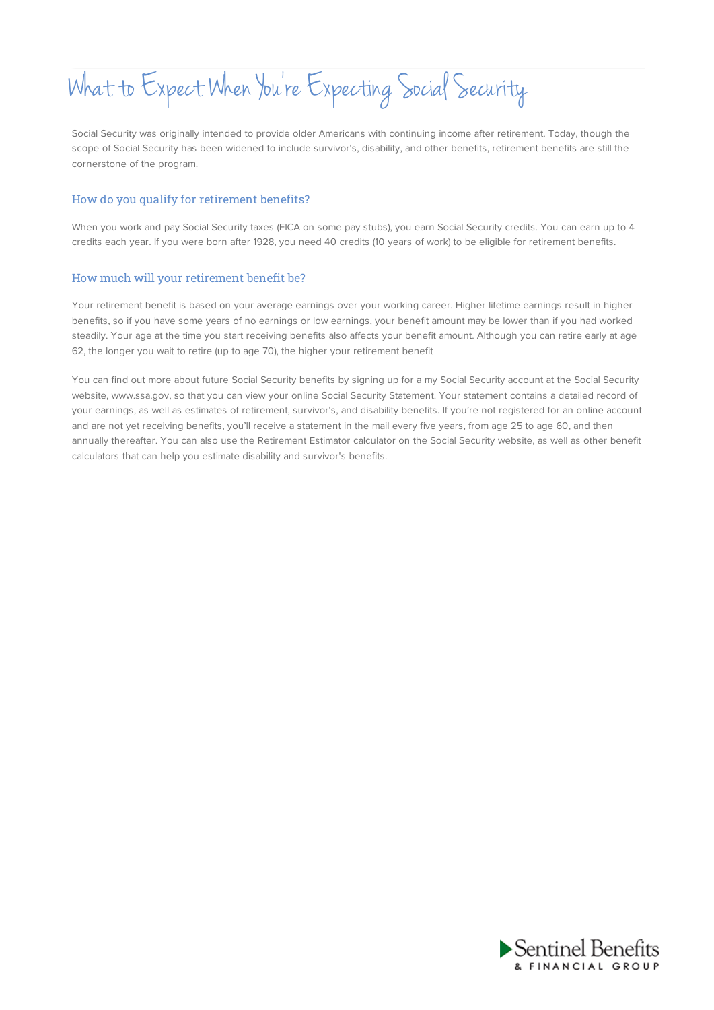What to Expect When You 're Expecting Social Security

Social Security was originally intended to provide older Americans with continuing income after retirement. Today, though the scope of Social Security has been widened to include survivor's, disability, and other benefits, retirement benefits are still the cornerstone of the program.

### How do you qualify for retirement benefits?

When you work and pay Social Security taxes (FICA on some pay stubs), you earn Social Security credits. You can earn up to 4 credits each year. If you were born after 1928, you need 40 credits (10 years of work) to be eligible for retirement benefits.

#### How much will your retirement benefit be?

Your retirement benefit is based on your average earnings over your working career. Higher lifetime earnings result in higher benefits, so if you have some years of no earnings or low earnings, your benefit amount may be lower than if you had worked steadily. Your age at the time you start receiving benefits also affects your benefit amount. Although you can retire early at age 62, the longer you wait to retire (up to age 70), the higher your retirement benefit

You can find out more about future Social Security benefits by signing up for a my Social Security account at the Social Security website, www.ssa.gov, so that you can view your online Social Security Statement. Your statement contains a detailed record of your earnings, as well as estimates of retirement, survivor's, and disability benefits. If you're not registered for an online account and are not yet receiving benefits, you'll receive a statement in the mail every five years, from age 25 to age 60, and then annually thereafter. You can also use the Retirement Estimator calculator on the Social Security website, as well as other benefit calculators that can help you estimate disability and survivor's benefits.

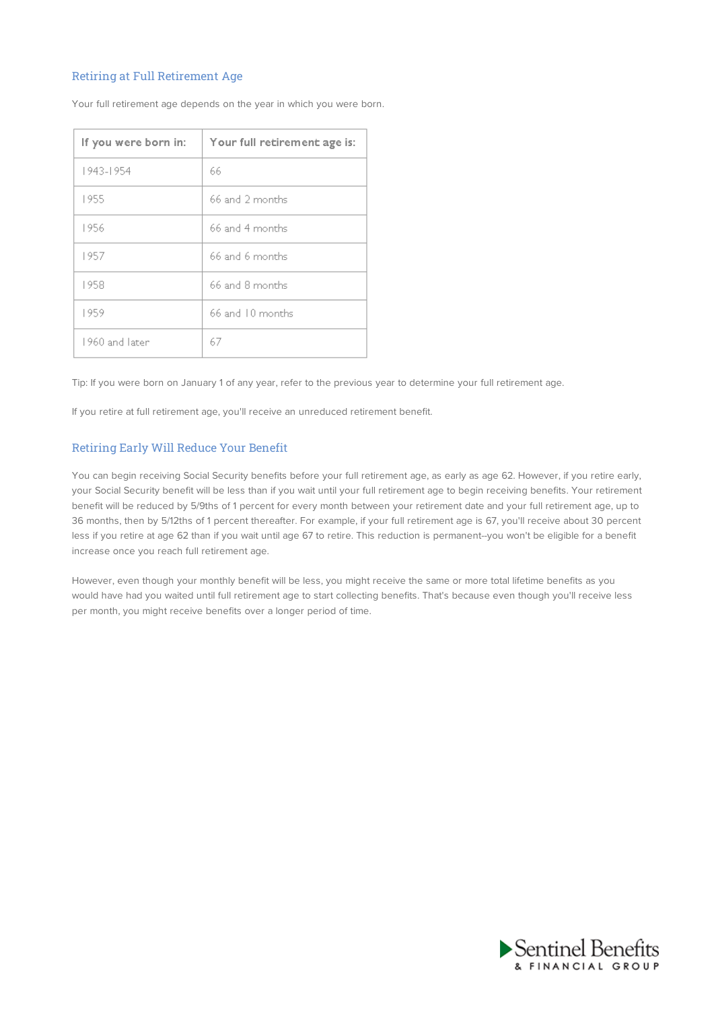# Retiring at Full Retirement Age

| If you were born in: | Your full retirement age is: |
|----------------------|------------------------------|
| 1943-1954            | 66                           |
| 1955                 | 66 and 2 months              |
| 1956                 | 66 and 4 months              |
| 1957                 | 66 and 6 months              |
| 1958                 | 66 and 8 months              |
| 1959                 | 66 and 10 months             |
| 1960 and later       | 67                           |

Your full retirement age depends on the year in which you were born.

Tip: If you were born on January 1 of any year, refer to the previous year to determine your full retirement age.

If you retire at full retirement age, you'll receive an unreduced retirement benefit.

### Retiring Early Will Reduce Your Benefit

You can begin receiving Social Security benefits before your full retirement age, as early as age 62. However, if you retire early, your Social Security benefit will be less than if you wait until your full retirement age to begin receiving benefits. Your retirement benefit will be reduced by 5/9ths of 1 percent for every month between your retirement date and your full retirement age, up to 36 months, then by 5/12ths of 1 percent thereafter. For example, if your full retirement age is 67, you'll receive about 30 percent less if you retire at age 62 than if you wait until age 67 to retire. This reduction is permanent--you won't be eligible for a benefit increase once you reach full retirement age.

However, even though your monthly benefit will be less, you might receive the same or more total lifetime benefits as you would have had you waited until full retirement age to start collecting benefits. That's because even though you'll receive less per month, you might receive benefits over a longer period of time.